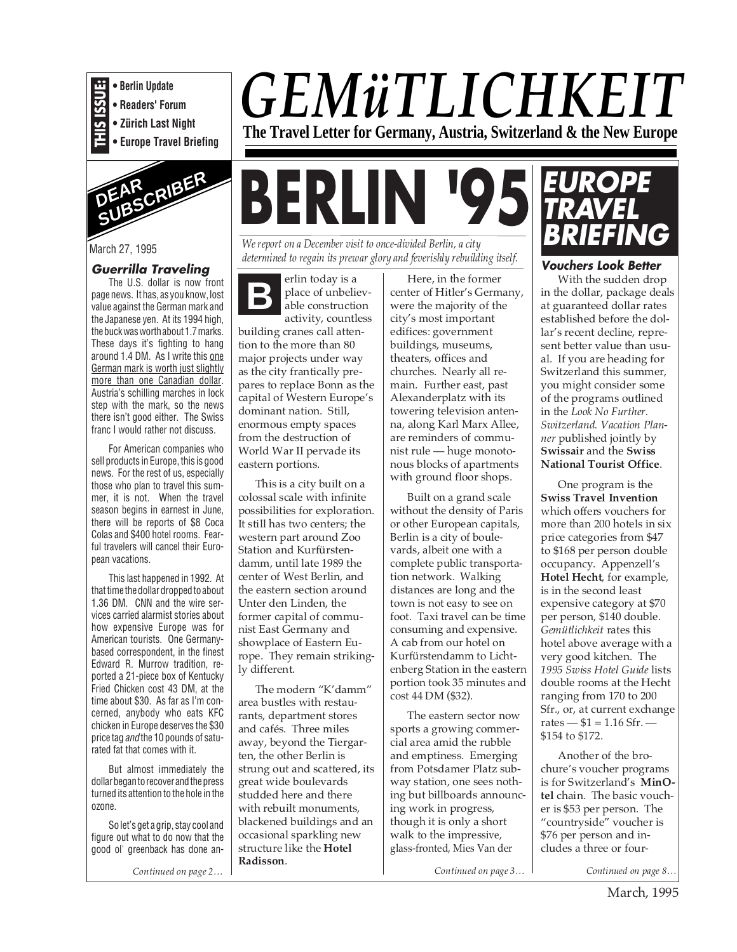

**• Zürich Last Night**

**• Europe Travel Briefing**



#### March 27, 1995

#### **Guerrilla Traveling**

The U.S. dollar is now front page news. It has, as you know, lost value against the German mark and the Japanese yen. At its 1994 high, the buck was worth about 1.7 marks. These days it's fighting to hang around 1.4 DM. As I write this one German mark is worth just slightly more than one Canadian dollar. Austria's schilling marches in lock step with the mark, so the news there isn't good either. The Swiss franc I would rather not discuss.

For American companies who sell products in Europe, this is good news. For the rest of us, especially those who plan to travel this summer, it is not. When the travel season begins in earnest in June, there will be reports of \$8 Coca Colas and \$400 hotel rooms. Fearful travelers will cancel their European vacations.

This last happened in 1992. At that time the dollar dropped to about 1.36 DM. CNN and the wire services carried alarmist stories about how expensive Europe was for American tourists. One Germanybased correspondent, in the finest Edward R. Murrow tradition, reported a 21-piece box of Kentucky Fried Chicken cost 43 DM, at the time about \$30. As far as I'm concerned, anybody who eats KFC chicken in Europe deserves the \$30 price tag and the 10 pounds of saturated fat that comes with it.

But almost immediately the dollar began to recover and the press turned its attention to the hole in the ozone.

So let's get a grip, stay cool and figure out what to do now that the good ol' greenback has done an-

# *GEMüTLICHKEIT* **The Travel Letter for Germany, Austria, Switzerland & the New Europe**

# **BERLIN '95**

We report on a December visit to once-divided Berlin, a city *determined to regain its prewar glory and feverishly rebuilding itself.*

**B** erlin today is a place of unbeliev able construction place of unbelievactivity, countless building cranes call attention to the more than 80 major projects under way as the city frantically prepares to replace Bonn as the capital of Western Europe's dominant nation. Still, enormous empty spaces from the destruction of World War II pervade its eastern portions.

This is a city built on a colossal scale with infinite possibilities for exploration. It still has two centers; the western part around Zoo Station and Kurfürstendamm, until late 1989 the center of West Berlin, and the eastern section around Unter den Linden, the former capital of communist East Germany and showplace of Eastern Europe. They remain strikingly different.

The modern "K'damm" area bustles with restaurants, department stores and cafés. Three miles away, beyond the Tiergarten, the other Berlin is strung out and scattered, its great wide boulevards studded here and there with rebuilt monuments, blackened buildings and an occasional sparkling new structure like the **Hotel Radisson**.

Here, in the former center of Hitler's Germany, were the majority of the city's most important edifices: government buildings, museums, theaters, offices and churches. Nearly all remain. Further east, past Alexanderplatz with its towering television antenna, along Karl Marx Allee, are reminders of communist rule — huge monotonous blocks of apartments with ground floor shops.

Built on a grand scale without the density of Paris or other European capitals, Berlin is a city of boulevards, albeit one with a complete public transportation network. Walking distances are long and the town is not easy to see on foot. Taxi travel can be time consuming and expensive. A cab from our hotel on Kurfürstendamm to Lichtenberg Station in the eastern portion took 35 minutes and cost 44 DM (\$32).

The eastern sector now sports a growing commercial area amid the rubble and emptiness. Emerging from Potsdamer Platz subway station, one sees nothing but billboards announcing work in progress, though it is only a short walk to the impressive, glass-fronted, Mies Van der



#### **Vouchers Look Better**

With the sudden drop in the dollar, package deals at guaranteed dollar rates established before the dollar's recent decline, represent better value than usual. If you are heading for Switzerland this summer, you might consider some of the programs outlined in the *Look No Further. Switzerland. Vacation Planner* published jointly by **Swissair** and the **Swiss National Tourist Office**.

One program is the **Swiss Travel Invention** which offers vouchers for more than 200 hotels in six price categories from \$47 to \$168 per person double occupancy. Appenzell's **Hotel Hecht**, for example, is in the second least expensive category at \$70 per person, \$140 double. *Gemütlichkeit* rates this hotel above average with a very good kitchen. The *1995 Swiss Hotel Guide* lists double rooms at the Hecht ranging from 170 to 200 Sfr., or, at current exchange rates —  $$1 = 1.16$  Sfr. — \$154 to \$172.

Another of the brochure's voucher programs is for Switzerland's **MinOtel** chain. The basic voucher is \$53 per person. The "countryside" voucher is \$76 per person and includes a three or four-

*Continued on page 2… Continued on page 3… Continued on page 8…*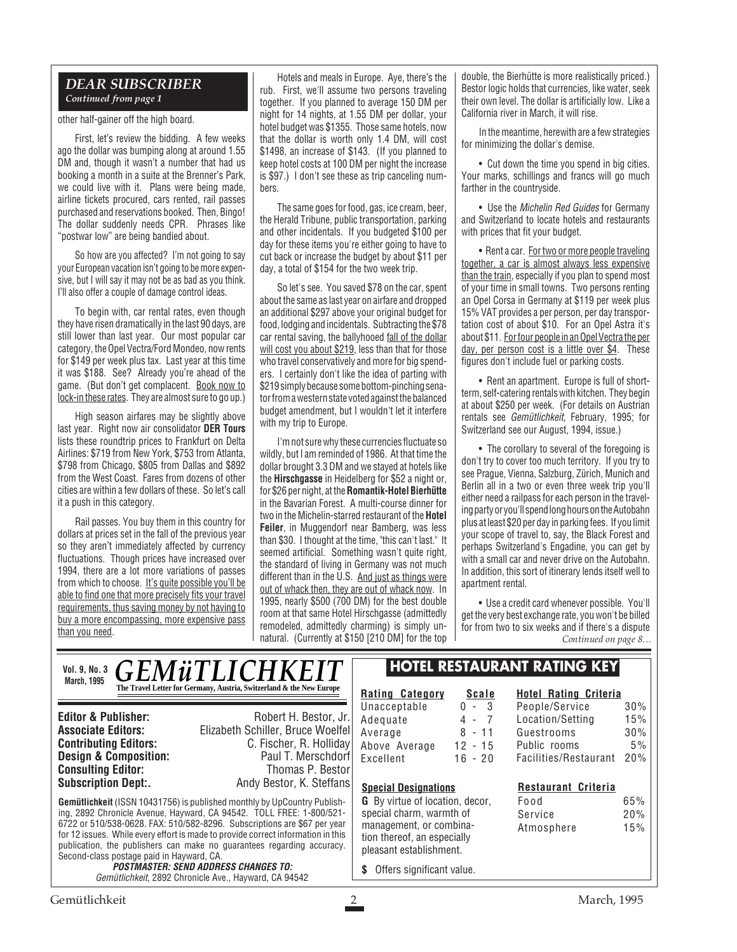#### *DEAR SUBSCRIBER Continued from page 1*

other half-gainer off the high board.

First, let's review the bidding. A few weeks ago the dollar was bumping along at around 1.55 DM and, though it wasn't a number that had us booking a month in a suite at the Brenner's Park, we could live with it. Plans were being made, airline tickets procured, cars rented, rail passes purchased and reservations booked. Then, Bingo! The dollar suddenly needs CPR. Phrases like "postwar low" are being bandied about.

So how are you affected? I'm not going to say your European vacation isn't going to be more expensive, but I will say it may not be as bad as you think. I'll also offer a couple of damage control ideas.

To begin with, car rental rates, even though they have risen dramatically in the last 90 days, are still lower than last year. Our most popular car category, the Opel Vectra/Ford Mondeo, now rents for \$149 per week plus tax. Last year at this time it was \$188. See? Already you're ahead of the game. (But don't get complacent. Book now to lock-in these rates. They are almost sure to go up.)

High season airfares may be slightly above last year. Right now air consolidator **DER Tours** lists these roundtrip prices to Frankfurt on Delta Airlines: \$719 from New York, \$753 from Atlanta, \$798 from Chicago, \$805 from Dallas and \$892 from the West Coast. Fares from dozens of other cities are within a few dollars of these. So let's call it a push in this category.

Rail passes. You buy them in this country for dollars at prices set in the fall of the previous year so they aren't immediately affected by currency fluctuations. Though prices have increased over 1994, there are a lot more variations of passes from which to choose. It's quite possible you'll be able to find one that more precisely fits your travel requirements, thus saving money by not having to buy a more encompassing, more expensive pass than you need.

Hotels and meals in Europe. Aye, there's the rub. First, we'll assume two persons traveling together. If you planned to average 150 DM per night for 14 nights, at 1.55 DM per dollar, your hotel budget was \$1355. Those same hotels, now that the dollar is worth only 1.4 DM, will cost \$1498, an increase of \$143. (If you planned to keep hotel costs at 100 DM per night the increase is \$97.) I don't see these as trip canceling numbers.

The same goes for food, gas, ice cream, beer, the Herald Tribune, public transportation, parking and other incidentals. If you budgeted \$100 per day for these items you're either going to have to cut back or increase the budget by about \$11 per day, a total of \$154 for the two week trip.

So let's see. You saved \$78 on the car, spent about the same as last year on airfare and dropped an additional \$297 above your original budget for food, lodging and incidentals. Subtracting the \$78 car rental saving, the ballyhooed fall of the dollar will cost you about \$219, less than that for those who travel conservatively and more for big spenders. I certainly don't like the idea of parting with \$219 simply because some bottom-pinching senator from a western state voted against the balanced budget amendment, but I wouldn't let it interfere with my trip to Europe.

I'm not sure why these currencies fluctuate so wildly, but I am reminded of 1986. At that time the dollar brought 3.3 DM and we stayed at hotels like the **Hirschgasse** in Heidelberg for \$52 a night or, for \$26 per night, at the **Romantik-Hotel Bierhütte** in the Bavarian Forest. A multi-course dinner for two in the Michelin-starred restaurant of the **Hotel Feiler**, in Muggendorf near Bamberg, was less than \$30. I thought at the time, "this can't last." It seemed artificial. Something wasn't quite right, the standard of living in Germany was not much different than in the U.S. And just as things were out of whack then, they are out of whack now. In 1995, nearly \$500 (700 DM) for the best double room at that same Hotel Hirschgasse (admittedly remodeled, admittedly charming) is simply unnatural. (Currently at \$150 [210 DM] for the top double, the Bierhütte is more realistically priced.) Bestor logic holds that currencies, like water, seek their own level. The dollar is artificially low. Like a California river in March, it will rise.

In the meantime, herewith are a few strategies for minimizing the dollar's demise.

• Cut down the time you spend in big cities. Your marks, schillings and francs will go much farther in the countryside.

• Use the *Michelin Red Guides* for Germany and Switzerland to locate hotels and restaurants with prices that fit your budget.

• Rent a car. For two or more people traveling together, a car is almost always less expensive than the train, especially if you plan to spend most of your time in small towns. Two persons renting an Opel Corsa in Germany at \$119 per week plus 15% VAT provides a per person, per day transportation cost of about \$10. For an Opel Astra it's about \$11. For four people in an Opel Vectra the per day, per person cost is a little over \$4. These figures don't include fuel or parking costs.

• Rent an apartment. Europe is full of shortterm, self-catering rentals with kitchen. They begin at about \$250 per week. (For details on Austrian rentals see Gemütlichkeit, February, 1995; for Switzerland see our August, 1994, issue.)

• The corollary to several of the foregoing is don't try to cover too much territory. If you try to see Prague, Vienna, Salzburg, Zürich, Munich and Berlin all in a two or even three week trip you'll either need a railpass for each person in the traveling party or you'll spend long hours on the Autobahn plus at least \$20 per day in parking fees. If you limit your scope of travel to, say, the Black Forest and perhaps Switzerland's Engadine, you can get by with a small car and never drive on the Autobahn. In addition, this sort of itinerary lends itself well to apartment rental.

• Use a credit card whenever possible. You'll get the very best exchange rate, you won't be billed for from two to six weeks and if there's a dispute *Continued on page 8…*

#### *GEMüTLICHKEIT* **Vol. 9, No. 3 March, 1995**

**The Travel Letter for Germany, Austria, Switzerland & the New Europe**

# **HOTEL RESTAURANT RATING KEY**

|                                                                                                      | The Travel Letter for Germany, Austria, Switzerland & the New Europe | <b>Rating Category</b>                 | <b>Scale</b> | <b>Hotel Rating Criteria</b> |     |
|------------------------------------------------------------------------------------------------------|----------------------------------------------------------------------|----------------------------------------|--------------|------------------------------|-----|
|                                                                                                      |                                                                      | Unacceptable                           | $0 - 3$      | People/Service               | 30% |
| <b>Editor &amp; Publisher:</b>                                                                       | Robert H. Bestor, Jr.                                                | Adequate                               | $4 - 7$      | Location/Setting             | 15% |
| <b>Associate Editors:</b>                                                                            | Elizabeth Schiller, Bruce Woelfel                                    | Average                                | $8 - 11$     | Guestrooms                   | 30% |
| <b>Contributing Editors:</b>                                                                         | C. Fischer, R. Holliday                                              | Above Average                          | $12 - 15$    | Public rooms                 | 5%  |
| <b>Design &amp; Composition:</b>                                                                     | Paul T. Merschdorf                                                   | Excellent                              | $16 - 20$    | Facilities/Restaurant        | 20% |
| <b>Consulting Editor:</b>                                                                            | Thomas P. Bestor                                                     |                                        |              |                              |     |
| <b>Subscription Dept:.</b>                                                                           | Andy Bestor, K. Steffans                                             | <b>Special Designations</b>            |              | Restaurant Criteria          |     |
| <b>Gemütlichkeit</b> (ISSN 10431756) is published monthly by UpCountry Publish-                      |                                                                      | <b>G</b> By virtue of location, decor. |              | Food                         | 65% |
| ing, 2892 Chronicle Avenue, Hayward, CA 94542. TOLL FREE: 1-800/521-                                 |                                                                      | special charm, warmth of               |              | Service                      | 20% |
| 6722 or 510/538-0628. FAX: 510/582-8296. Subscriptions are \$67 per year                             |                                                                      | management, or combina-                |              | Atmosphere                   | 15% |
| for 12 issues. While every effort is made to provide correct information in this                     |                                                                      | tion thereof, an especially            |              |                              |     |
| publication, the publishers can make no guarantees regarding accuracy.                               |                                                                      | pleasant establishment.                |              |                              |     |
| Second-class postage paid in Hayward, CA.                                                            |                                                                      |                                        |              |                              |     |
| <b>POSTMASTER: SEND ADDRESS CHANGES TO:</b><br>Gemütlichkeit, 2892 Chronicle Ave., Hayward, CA 94542 |                                                                      | Offers significant value.              |              |                              |     |
|                                                                                                      |                                                                      |                                        |              |                              |     |

 $\mathbb{R}$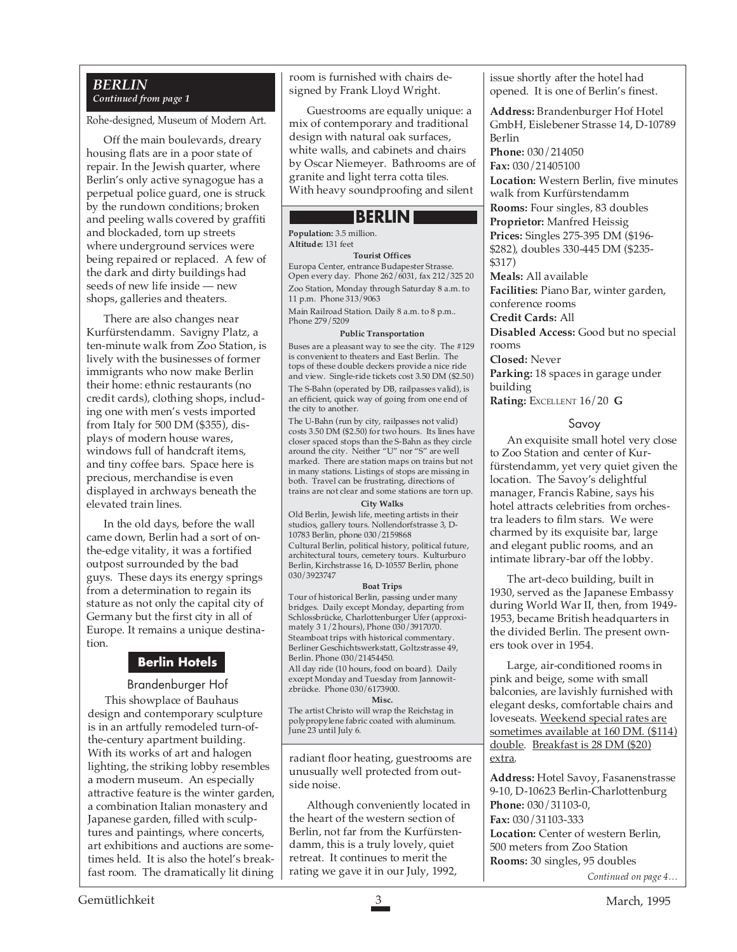#### *BERLIN Continued from page 1*

Rohe-designed, Museum of Modern Art.

Off the main boulevards, dreary housing flats are in a poor state of repair. In the Jewish quarter, where Berlin's only active synagogue has a perpetual police guard, one is struck by the rundown conditions; broken and peeling walls covered by graffiti and blockaded, torn up streets where underground services were being repaired or replaced. A few of the dark and dirty buildings had seeds of new life inside — new shops, galleries and theaters.

There are also changes near Kurfürstendamm. Savigny Platz, a ten-minute walk from Zoo Station, is lively with the businesses of former immigrants who now make Berlin their home: ethnic restaurants (no credit cards), clothing shops, including one with men's vests imported from Italy for 500 DM (\$355), displays of modern house wares, windows full of handcraft items, and tiny coffee bars. Space here is precious, merchandise is even displayed in archways beneath the elevated train lines.

In the old days, before the wall came down, Berlin had a sort of onthe-edge vitality, it was a fortified outpost surrounded by the bad guys. These days its energy springs from a determination to regain its stature as not only the capital city of Germany but the first city in all of Europe. It remains a unique destination.

# **Berlin Hotels**

#### Brandenburger Hof

This showplace of Bauhaus design and contemporary sculpture is in an artfully remodeled turn-ofthe-century apartment building. With its works of art and halogen lighting, the striking lobby resembles a modern museum. An especially attractive feature is the winter garden, a combination Italian monastery and Japanese garden, filled with sculptures and paintings, where concerts, art exhibitions and auctions are sometimes held. It is also the hotel's breakfast room. The dramatically lit dining room is furnished with chairs designed by Frank Lloyd Wright.

Guestrooms are equally unique: a mix of contemporary and traditional design with natural oak surfaces, white walls, and cabinets and chairs by Oscar Niemeyer. Bathrooms are of granite and light terra cotta tiles. With heavy soundproofing and silent

# **BERLIN**

**Population:** 3.5 million. **Altitude:** 131 feet

**Tourist Offices** Europa Center, entrance Budapester Strasse. Open every day. Phone 262/6031, fax 212/325 20 Zoo Station, Monday through Saturday 8 a.m. to 11 p.m. Phone 313/9063

Main Railroad Station. Daily 8 a.m. to 8 p.m.. Phone 279/5209 **Public Transportation**

Buses are a pleasant way to see the city. The #129 is convenient to theaters and East Berlin. The tops of these double deckers provide a nice ride and view. Single-ride tickets cost 3.50 DM (\$2.50) The S-Bahn (operated by DB, railpasses valid), is an efficient, quick way of going from one end of the city to another.

The U-Bahn (run by city, railpasses not valid) costs 3.50 DM (\$2.50) for two hours. Its lines have closer spaced stops than the S-Bahn as they circle around the city. Neither "U" nor "S" are well marked. There are station maps on trains but not in many stations. Listings of stops are missing in both. Travel can be frustrating, directions of trains are not clear and some stations are torn up.

#### **City Walks**

Old Berlin, Jewish life, meeting artists in their studios, gallery tours. Nollendorfstrasse 3, D-10783 Berlin, phone 030/2159868 Cultural Berlin, political history, political future, architectural tours, cemetery tours. Kulturburo Berlin, Kirchstrasse 16, D-10557 Berlin, phone 030/3923747

#### **Boat Trips**

Tour of historical Berlin, passing under many bridges. Daily except Monday, departing from Schlossbrücke, Charlottenburger Ufer (approximately 3 1/2 hours), Phone 030/3917070. Steamboat trips with historical commentary. Berliner Geschichtswerkstatt, Goltzstrasse 49, Berlin. Phone 030/21454450. All day ride (10 hours, food on board). Daily except Monday and Tuesday from Jannowitzbrücke. Phone 030/6173900.

#### **Misc.**

The artist Christo will wrap the Reichstag in polypropylene fabric coated with aluminum. June 23 until July 6.

radiant floor heating, guestrooms are unusually well protected from outside noise.

Although conveniently located in the heart of the western section of Berlin, not far from the Kurfürstendamm, this is a truly lovely, quiet retreat. It continues to merit the rating we gave it in our July, 1992,

issue shortly after the hotel had opened. It is one of Berlin's finest.

**Address:** Brandenburger Hof Hotel GmbH, Eislebener Strasse 14, D-10789 Berlin

**Phone:** 030/214050 **Fax:** 030/21405100

**Location:** Western Berlin, five minutes walk from Kurfürstendamm

**Rooms:** Four singles, 83 doubles

**Proprietor:** Manfred Heissig **Prices:** Singles 275-395 DM (\$196- \$282), doubles 330-445 DM (\$235- \$317)

**Meals:** All available **Facilities:** Piano Bar, winter garden, conference rooms

**Credit Cards:** All

**Disabled Access:** Good but no special rooms

**Closed:** Never

**Parking:** 18 spaces in garage under building

**Rating:** EXCELLENT 16/20 **G**

#### Savoy

An exquisite small hotel very close to Zoo Station and center of Kurfürstendamm, yet very quiet given the location. The Savoy's delightful manager, Francis Rabine, says his hotel attracts celebrities from orchestra leaders to film stars. We were charmed by its exquisite bar, large and elegant public rooms, and an intimate library-bar off the lobby.

The art-deco building, built in 1930, served as the Japanese Embassy during World War II, then, from 1949- 1953, became British headquarters in the divided Berlin. The present owners took over in 1954.

Large, air-conditioned rooms in pink and beige, some with small balconies, are lavishly furnished with elegant desks, comfortable chairs and loveseats. Weekend special rates are sometimes available at 160 DM. (\$114) double. Breakfast is 28 DM (\$20) extra.

**Address:** Hotel Savoy, Fasanenstrasse 9-10, D-10623 Berlin-Charlottenburg **Phone:** 030/31103-0, **Fax:** 030/31103-333 **Location:** Center of western Berlin, 500 meters from Zoo Station **Rooms:** 30 singles, 95 doubles

*Continued on page 4…*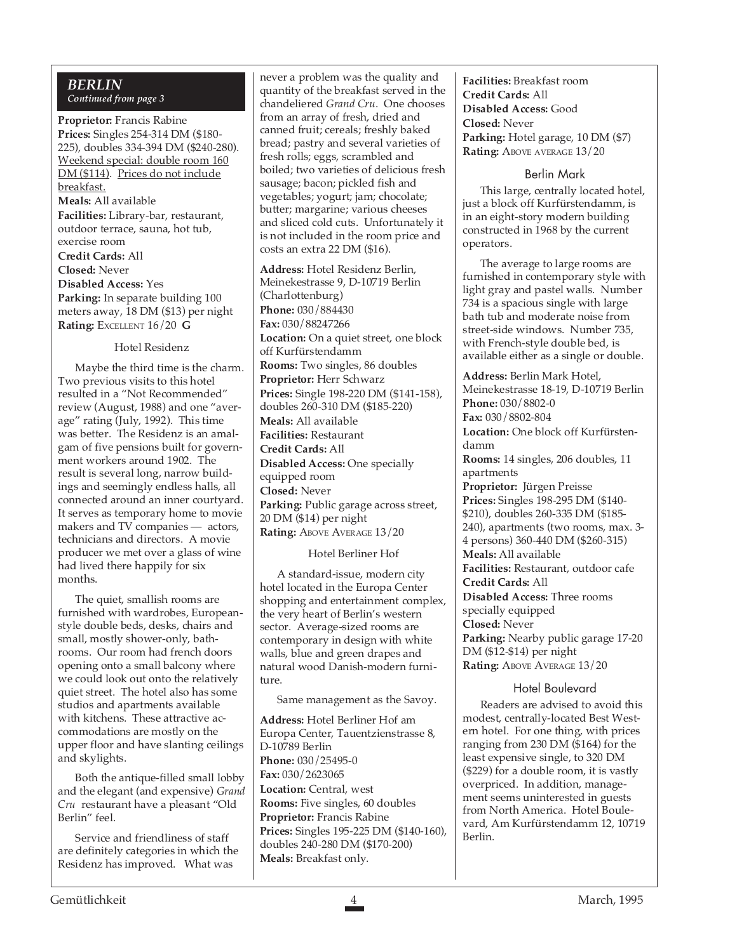### *BERLIN Continued from page 3*

**Proprietor:** Francis Rabine **Prices:** Singles 254-314 DM (\$180- 225), doubles 334-394 DM (\$240-280). Weekend special: double room 160 DM (\$114). Prices do not include breakfast. **Meals:** All available **Facilities:** Library-bar, restaurant, outdoor terrace, sauna, hot tub, exercise room **Credit Cards:** All **Closed:** Never **Disabled Access:** Yes **Parking:** In separate building 100 meters away, 18 DM (\$13) per night **Rating:** EXCELLENT 16/20 **G**

#### Hotel Residenz

Maybe the third time is the charm. Two previous visits to this hotel resulted in a "Not Recommended" review (August, 1988) and one "average" rating (July, 1992). This time was better. The Residenz is an amalgam of five pensions built for government workers around 1902. The result is several long, narrow buildings and seemingly endless halls, all connected around an inner courtyard. It serves as temporary home to movie makers and TV companies — actors, technicians and directors. A movie producer we met over a glass of wine had lived there happily for six months.

The quiet, smallish rooms are furnished with wardrobes, Europeanstyle double beds, desks, chairs and small, mostly shower-only, bathrooms. Our room had french doors opening onto a small balcony where we could look out onto the relatively quiet street. The hotel also has some studios and apartments available with kitchens. These attractive accommodations are mostly on the upper floor and have slanting ceilings and skylights.

Both the antique-filled small lobby and the elegant (and expensive) *Grand Cru* restaurant have a pleasant "Old Berlin" feel.

Service and friendliness of staff are definitely categories in which the Residenz has improved. What was

never a problem was the quality and quantity of the breakfast served in the chandeliered *Grand Cru*. One chooses from an array of fresh, dried and canned fruit; cereals; freshly baked bread; pastry and several varieties of fresh rolls; eggs, scrambled and boiled; two varieties of delicious fresh sausage; bacon; pickled fish and vegetables; yogurt; jam; chocolate; butter; margarine; various cheeses and sliced cold cuts. Unfortunately it is not included in the room price and costs an extra 22 DM (\$16).

**Address:** Hotel Residenz Berlin, Meinekestrasse 9, D-10719 Berlin (Charlottenburg) **Phone:** 030/884430 **Fax:** 030/88247266 **Location:** On a quiet street, one block off Kurfürstendamm **Rooms:** Two singles, 86 doubles **Proprietor:** Herr Schwarz **Prices:** Single 198-220 DM (\$141-158), doubles 260-310 DM (\$185-220) **Meals:** All available **Facilities:** Restaurant **Credit Cards:** All **Disabled Access:** One specially equipped room **Closed:** Never **Parking:** Public garage across street, 20 DM (\$14) per night **Rating:** ABOVE AVERAGE 13/20

#### Hotel Berliner Hof

A standard-issue, modern city hotel located in the Europa Center shopping and entertainment complex, the very heart of Berlin's western sector. Average-sized rooms are contemporary in design with white walls, blue and green drapes and natural wood Danish-modern furniture.

Same management as the Savoy.

**Address:** Hotel Berliner Hof am Europa Center, Tauentzienstrasse 8, D-10789 Berlin **Phone:** 030/25495-0 **Fax:** 030/2623065 Location: Central, west **Rooms:** Five singles, 60 doubles **Proprietor:** Francis Rabine **Prices:** Singles 195-225 DM (\$140-160), doubles 240-280 DM (\$170-200) **Meals:** Breakfast only.

**Facilities:** Breakfast room **Credit Cards:** All **Disabled Access:** Good **Closed:** Never **Parking:** Hotel garage, 10 DM (\$7) **Rating:** ABOVE AVERAGE 13/20

#### Berlin Mark

This large, centrally located hotel, just a block off Kurfürstendamm, is in an eight-story modern building constructed in 1968 by the current operators.

The average to large rooms are furnished in contemporary style with light gray and pastel walls. Number 734 is a spacious single with large bath tub and moderate noise from street-side windows. Number 735, with French-style double bed, is available either as a single or double.

**Address:** Berlin Mark Hotel, Meinekestrasse 18-19, D-10719 Berlin **Phone:** 030/8802-0 **Fax:** 030/8802-804 **Location:** One block off Kurfürstendamm **Rooms:** 14 singles, 206 doubles, 11 apartments **Proprietor:** Jürgen Preisse **Prices:** Singles 198-295 DM (\$140- \$210), doubles 260-335 DM (\$185- 240), apartments (two rooms, max. 3- 4 persons) 360-440 DM (\$260-315) **Meals:** All available **Facilities:** Restaurant, outdoor cafe **Credit Cards:** All **Disabled Access:** Three rooms specially equipped **Closed:** Never **Parking:** Nearby public garage 17-20 DM (\$12-\$14) per night **Rating:** ABOVE AVERAGE 13/20

#### Hotel Boulevard

Readers are advised to avoid this modest, centrally-located Best Western hotel. For one thing, with prices ranging from 230 DM (\$164) for the least expensive single, to 320 DM (\$229) for a double room, it is vastly overpriced. In addition, management seems uninterested in guests from North America. Hotel Boulevard, Am Kurfürstendamm 12, 10719 Berlin.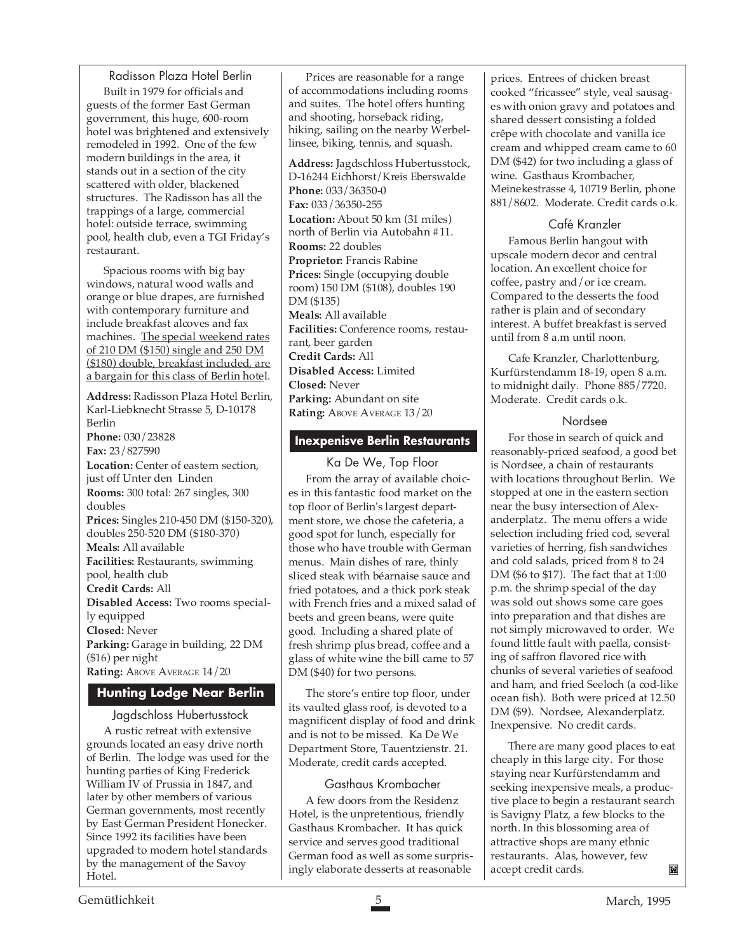Radisson Plaza Hotel Berlin Built in 1979 for officials and guests of the former East German government, this huge, 600-room hotel was brightened and extensively remodeled in 1992. One of the few modern buildings in the area, it stands out in a section of the city scattered with older, blackened structures. The Radisson has all the trappings of a large, commercial hotel: outside terrace, swimming pool, health club, even a TGI Friday's restaurant.

Spacious rooms with big bay windows, natural wood walls and orange or blue drapes, are furnished with contemporary furniture and include breakfast alcoves and fax machines. The special weekend rates of 210 DM (\$150) single and 250 DM (\$180) double, breakfast included, are a bargain for this class of Berlin hotel.

**Address:** Radisson Plaza Hotel Berlin, Karl-Liebknecht Strasse 5, D-10178 Berlin **Phone:** 030/23828 **Fax:** 23/827590 **Location:** Center of eastern section, just off Unter den Linden **Rooms:** 300 total: 267 singles, 300 doubles **Prices:** Singles 210-450 DM (\$150-320), doubles 250-520 DM (\$180-370) **Meals:** All available **Facilities:** Restaurants, swimming pool, health club **Credit Cards:** All **Disabled Access:** Two rooms specially equipped **Closed:** Never **Parking:** Garage in building, 22 DM (\$16) per night **Rating: ABOVE AVERAGE 14/20** 

#### **Hunting Lodge Near Berlin**

#### Jagdschloss Hubertusstock

A rustic retreat with extensive grounds located an easy drive north of Berlin. The lodge was used for the hunting parties of King Frederick William IV of Prussia in 1847, and later by other members of various German governments, most recently by East German President Honecker. Since 1992 its facilities have been upgraded to modern hotel standards by the management of the Savoy Hotel.

Prices are reasonable for a range of accommodations including rooms and suites. The hotel offers hunting and shooting, horseback riding, hiking, sailing on the nearby Werbellinsee, biking, tennis, and squash.

**Address:** Jagdschloss Hubertusstock, D-16244 Eichhorst/Kreis Eberswalde **Phone:** 033/36350-0 **Fax:** 033/36350-255 **Location:** About 50 km (31 miles) north of Berlin via Autobahn #11. **Rooms:** 22 doubles **Proprietor:** Francis Rabine **Prices:** Single (occupying double room) 150 DM (\$108), doubles 190 DM (\$135) **Meals:** All available **Facilities:** Conference rooms, restaurant, beer garden **Credit Cards:** All **Disabled Access:** Limited **Closed:** Never **Parking:** Abundant on site **Rating:** ABOVE AVERAGE 13/20

#### **Inexpenisve Berlin Restaurants**

Ka De We, Top Floor From the array of available choices in this fantastic food market on the top floor of Berlin's largest department store, we chose the cafeteria, a good spot for lunch, especially for those who have trouble with German menus. Main dishes of rare, thinly sliced steak with béarnaise sauce and fried potatoes, and a thick pork steak with French fries and a mixed salad of beets and green beans, were quite good. Including a shared plate of fresh shrimp plus bread, coffee and a glass of white wine the bill came to 57 DM (\$40) for two persons.

The store's entire top floor, under its vaulted glass roof, is devoted to a magnificent display of food and drink and is not to be missed. Ka De We Department Store, Tauentzienstr. 21. Moderate, credit cards accepted.

#### Gasthaus Krombacher

A few doors from the Residenz Hotel, is the unpretentious, friendly Gasthaus Krombacher. It has quick service and serves good traditional German food as well as some surprisingly elaborate desserts at reasonable prices. Entrees of chicken breast cooked "fricassee" style, veal sausages with onion gravy and potatoes and shared dessert consisting a folded crêpe with chocolate and vanilla ice cream and whipped cream came to 60 DM (\$42) for two including a glass of wine. Gasthaus Krombacher, Meinekestrasse 4, 10719 Berlin, phone 881/8602. Moderate. Credit cards o.k.

### Café Kranzler

Famous Berlin hangout with upscale modern decor and central location. An excellent choice for coffee, pastry and/or ice cream. Compared to the desserts the food rather is plain and of secondary interest. A buffet breakfast is served until from 8 a.m until noon.

Cafe Kranzler, Charlottenburg, Kurfürstendamm 18-19, open 8 a.m. to midnight daily. Phone 885/7720. Moderate. Credit cards o.k.

#### Nordsee

For those in search of quick and reasonably-priced seafood, a good bet is Nordsee, a chain of restaurants with locations throughout Berlin. We stopped at one in the eastern section near the busy intersection of Alexanderplatz. The menu offers a wide selection including fried cod, several varieties of herring, fish sandwiches and cold salads, priced from 8 to 24 DM (\$6 to \$17). The fact that at 1:00 p.m. the shrimp special of the day was sold out shows some care goes into preparation and that dishes are not simply microwaved to order. We found little fault with paella, consisting of saffron flavored rice with chunks of several varieties of seafood and ham, and fried Seeloch (a cod-like ocean fish). Both were priced at 12.50 DM (\$9). Nordsee, Alexanderplatz. Inexpensive. No credit cards.

There are many good places to eat cheaply in this large city. For those staying near Kurfürstendamm and seeking inexpensive meals, a productive place to begin a restaurant search is Savigny Platz, a few blocks to the north. In this blossoming area of attractive shops are many ethnic restaurants. Alas, however, few accept credit cards.M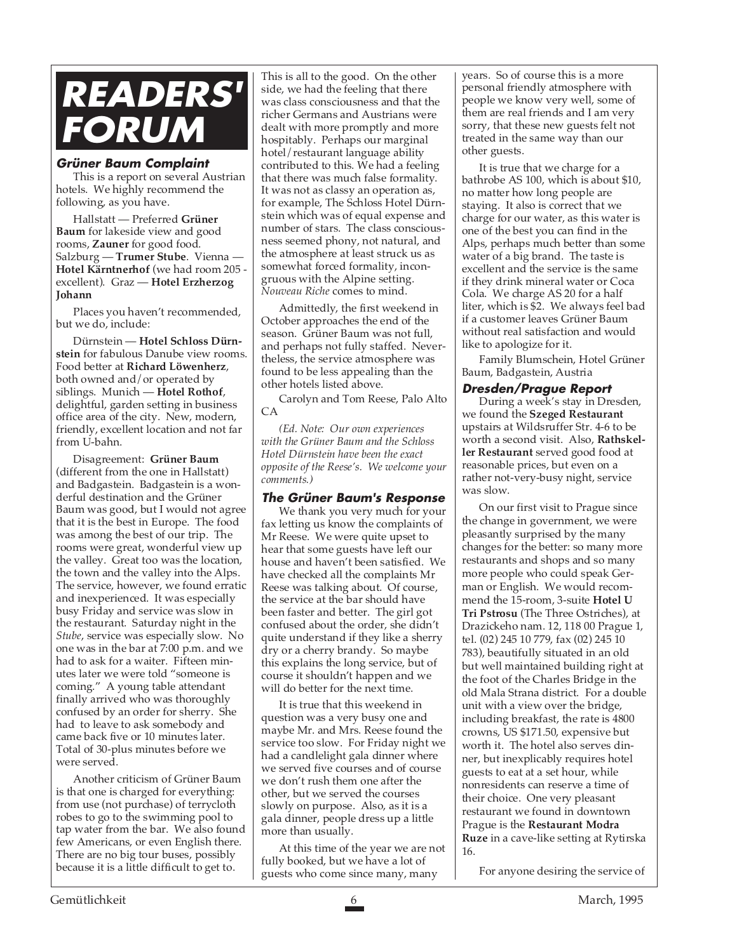# **READERS' FORUM**

#### **Grüner Baum Complaint**

This is a report on several Austrian hotels. We highly recommend the following, as you have.

Hallstatt — Preferred **Grüner Baum** for lakeside view and good rooms, **Zauner** for good food. Salzburg — **Trumer Stube**. Vienna — **Hotel Kärntnerhof** (we had room 205 excellent). Graz — **Hotel Erzherzog Johann**

Places you haven't recommended, but we do, include:

Dürnstein — **Hotel Schloss Dürnstein** for fabulous Danube view rooms. Food better at **Richard Löwenherz**, both owned and/or operated by siblings. Munich — **Hotel Rothof**, delightful, garden setting in business office area of the city. New, modern, friendly, excellent location and not far from U-bahn.

Disagreement: **Grüner Baum** (different from the one in Hallstatt) and Badgastein. Badgastein is a wonderful destination and the Grüner Baum was good, but I would not agree that it is the best in Europe. The food was among the best of our trip. The rooms were great, wonderful view up the valley. Great too was the location, the town and the valley into the Alps. The service, however, we found erratic and inexperienced. It was especially busy Friday and service was slow in the restaurant. Saturday night in the *Stube*, service was especially slow. No one was in the bar at 7:00 p.m. and we had to ask for a waiter. Fifteen minutes later we were told "someone is coming." A young table attendant finally arrived who was thoroughly confused by an order for sherry. She had to leave to ask somebody and came back five or 10 minutes later. Total of 30-plus minutes before we were served.

Another criticism of Grüner Baum is that one is charged for everything: from use (not purchase) of terrycloth robes to go to the swimming pool to tap water from the bar. We also found few Americans, or even English there. There are no big tour buses, possibly because it is a little difficult to get to.

This is all to the good. On the other side, we had the feeling that there was class consciousness and that the richer Germans and Austrians were dealt with more promptly and more hospitably. Perhaps our marginal hotel/restaurant language ability contributed to this. We had a feeling that there was much false formality. It was not as classy an operation as, for example, The Schloss Hotel Dürnstein which was of equal expense and number of stars. The class consciousness seemed phony, not natural, and the atmosphere at least struck us as somewhat forced formality, incongruous with the Alpine setting. *Nouveau Riche* comes to mind.

Admittedly, the first weekend in October approaches the end of the season. Grüner Baum was not full, and perhaps not fully staffed. Nevertheless, the service atmosphere was found to be less appealing than the other hotels listed above.

Carolyn and Tom Reese, Palo Alto CA

*(Ed. Note: Our own experiences with the Grüner Baum and the Schloss Hotel Dürnstein have been the exact opposite of the Reese's. We welcome your comments.)*

#### **The Grüner Baum's Response**

We thank you very much for your fax letting us know the complaints of Mr Reese. We were quite upset to hear that some guests have left our house and haven't been satisfied. We have checked all the complaints Mr Reese was talking about. Of course, the service at the bar should have been faster and better. The girl got confused about the order, she didn't quite understand if they like a sherry dry or a cherry brandy. So maybe this explains the long service, but of course it shouldn't happen and we will do better for the next time.

It is true that this weekend in question was a very busy one and maybe Mr. and Mrs. Reese found the service too slow. For Friday night we had a candlelight gala dinner where we served five courses and of course we don't rush them one after the other, but we served the courses slowly on purpose. Also, as it is a gala dinner, people dress up a little more than usually.

At this time of the year we are not fully booked, but we have a lot of guests who come since many, many

years. So of course this is a more personal friendly atmosphere with people we know very well, some of them are real friends and I am very sorry, that these new guests felt not treated in the same way than our other guests.

It is true that we charge for a bathrobe AS 100, which is about \$10, no matter how long people are staying. It also is correct that we charge for our water, as this water is one of the best you can find in the Alps, perhaps much better than some water of a big brand. The taste is excellent and the service is the same if they drink mineral water or Coca Cola. We charge AS 20 for a half liter, which is \$2. We always feel bad if a customer leaves Grüner Baum without real satisfaction and would like to apologize for it.

Family Blumschein, Hotel Grüner Baum, Badgastein, Austria

#### **Dresden/Prague Report**

During a week's stay in Dresden, we found the **Szeged Restaurant** upstairs at Wildsruffer Str. 4-6 to be worth a second visit. Also, **Rathskeller Restaurant** served good food at reasonable prices, but even on a rather not-very-busy night, service was slow.

On our first visit to Prague since the change in government, we were pleasantly surprised by the many changes for the better: so many more restaurants and shops and so many more people who could speak German or English. We would recommend the 15-room, 3-suite **Hotel U Tri Pstrosu** (The Three Ostriches), at Drazickeho nam. 12, 118 00 Prague 1, tel. (02) 245 10 779, fax (02) 245 10 783), beautifully situated in an old but well maintained building right at the foot of the Charles Bridge in the old Mala Strana district. For a double unit with a view over the bridge, including breakfast, the rate is 4800 crowns, US \$171.50, expensive but worth it. The hotel also serves dinner, but inexplicably requires hotel guests to eat at a set hour, while nonresidents can reserve a time of their choice. One very pleasant restaurant we found in downtown Prague is the **Restaurant Modra Ruze** in a cave-like setting at Rytirska 16.

For anyone desiring the service of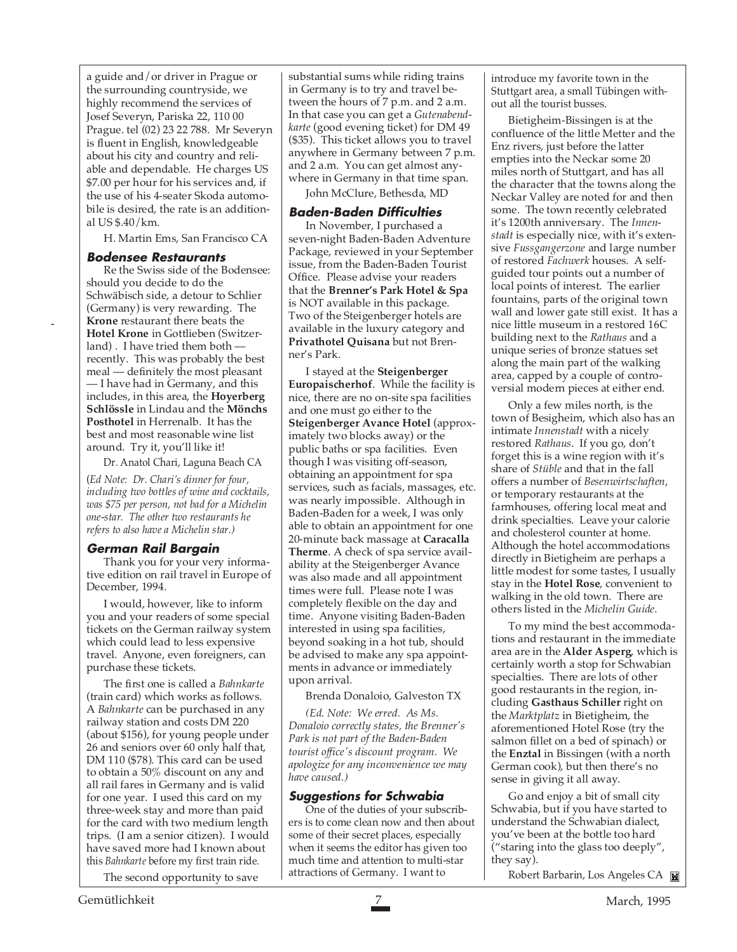a guide and/or driver in Prague or the surrounding countryside, we highly recommend the services of Josef Severyn, Pariska 22, 110 00 Prague. tel (02) 23 22 788. Mr Severyn is fluent in English, knowledgeable about his city and country and reliable and dependable. He charges US \$7.00 per hour for his services and, if the use of his 4-seater Skoda automobile is desired, the rate is an additional US \$.40/km.

H. Martin Ems, San Francisco CA

#### **Bodensee Restaurants**

-

Re the Swiss side of the Bodensee: should you decide to do the Schwäbisch side, a detour to Schlier (Germany) is very rewarding. The **Krone** restaurant there beats the **Hotel Krone** in Gottlieben (Switzerland) . I have tried them both recently. This was probably the best meal — definitely the most pleasant — I have had in Germany, and this includes, in this area, the **Hoyerberg Schlössle** in Lindau and the **Mönchs Posthotel** in Herrenalb. It has the best and most reasonable wine list around. Try it, you'll like it!

Dr. Anatol Chari, Laguna Beach CA

(*Ed Note: Dr. Chari's dinner for four, including two bottles of wine and cocktails, was \$75 per person, not bad for a Michelin one-star. The other two restaurants he refers to also have a Michelin star.)*

#### **German Rail Bargain**

Thank you for your very informative edition on rail travel in Europe of December, 1994.

I would, however, like to inform you and your readers of some special tickets on the German railway system which could lead to less expensive travel. Anyone, even foreigners, can purchase these tickets.

The first one is called a *Bahnkarte* (train card) which works as follows. A *Bahnkarte* can be purchased in any railway station and costs DM 220 (about \$156), for young people under 26 and seniors over 60 only half that, DM 110 (\$78). This card can be used to obtain a 50% discount on any and all rail fares in Germany and is valid for one year. I used this card on my three-week stay and more than paid for the card with two medium length trips. (I am a senior citizen). I would have saved more had I known about this *Bahnkarte* before my first train ride.

The second opportunity to save

substantial sums while riding trains in Germany is to try and travel between the hours of 7 p.m. and 2 a.m. In that case you can get a *Gutenabendkarte* (good evening ticket) for DM 49 (\$35). This ticket allows you to travel anywhere in Germany between 7 p.m. and 2 a.m. You can get almost anywhere in Germany in that time span.

John McClure, Bethesda, MD

#### **Baden-Baden Difficulties**

In November, I purchased a seven-night Baden-Baden Adventure Package, reviewed in your September issue, from the Baden-Baden Tourist Office. Please advise your readers that the **Brenner's Park Hotel & Spa** is NOT available in this package. Two of the Steigenberger hotels are available in the luxury category and **Privathotel Quisana** but not Brenner's Park.

I stayed at the **Steigenberger Europaischerhof**. While the facility is nice, there are no on-site spa facilities and one must go either to the **Steigenberger Avance Hotel** (approximately two blocks away) or the public baths or spa facilities. Even though I was visiting off-season, obtaining an appointment for spa services, such as facials, massages, etc. was nearly impossible. Although in Baden-Baden for a week, I was only able to obtain an appointment for one 20-minute back massage at **Caracalla Therme**. A check of spa service availability at the Steigenberger Avance was also made and all appointment times were full. Please note I was completely flexible on the day and time. Anyone visiting Baden-Baden interested in using spa facilities, beyond soaking in a hot tub, should be advised to make any spa appointments in advance or immediately upon arrival.

Brenda Donaloio, Galveston TX

*(Ed. Note: We erred. As Ms. Donaloio correctly states, the Brenner's Park is not part of the Baden-Baden tourist office's discount program. We apologize for any inconvenience we may have caused.)*

#### **Suggestions for Schwabia**

One of the duties of your subscribers is to come clean now and then about some of their secret places, especially when it seems the editor has given too much time and attention to multi-star attractions of Germany. I want to

introduce my favorite town in the Stuttgart area, a small Tübingen without all the tourist busses.

Bietigheim-Bissingen is at the confluence of the little Metter and the Enz rivers, just before the latter empties into the Neckar some 20 miles north of Stuttgart, and has all the character that the towns along the Neckar Valley are noted for and then some. The town recently celebrated it's 1200th anniversary. The *Innenstadt* is especially nice, with it's extensive *Fussgangerzone* and large number of restored *Fachwerk* houses. A selfguided tour points out a number of local points of interest. The earlier fountains, parts of the original town wall and lower gate still exist. It has a nice little museum in a restored 16C building next to the *Rathaus* and a unique series of bronze statues set along the main part of the walking area, capped by a couple of controversial modern pieces at either end.

Only a few miles north, is the town of Besigheim, which also has an intimate *Innenstadt* with a nicely restored *Rathaus*. If you go, don't forget this is a wine region with it's share of *Stüble* and that in the fall offers a number of *Besenwirtschaften*, or temporary restaurants at the farmhouses, offering local meat and drink specialties. Leave your calorie and cholesterol counter at home. Although the hotel accommodations directly in Bietigheim are perhaps a little modest for some tastes, I usually stay in the **Hotel Rose**, convenient to walking in the old town. There are others listed in the *Michelin Guide*.

To my mind the best accommodations and restaurant in the immediate area are in the **Alder Asperg**, which is certainly worth a stop for Schwabian specialties. There are lots of other good restaurants in the region, including **Gasthaus Schiller** right on the *Marktplatz* in Bietigheim, the aforementioned Hotel Rose (try the salmon fillet on a bed of spinach) or the **Enztal** in Bissingen (with a north German cook), but then there's no sense in giving it all away.

Go and enjoy a bit of small city Schwabia, but if you have started to understand the Schwabian dialect, you've been at the bottle too hard ("staring into the glass too deeply", they say).

Robert Barbarin, Los Angeles CA